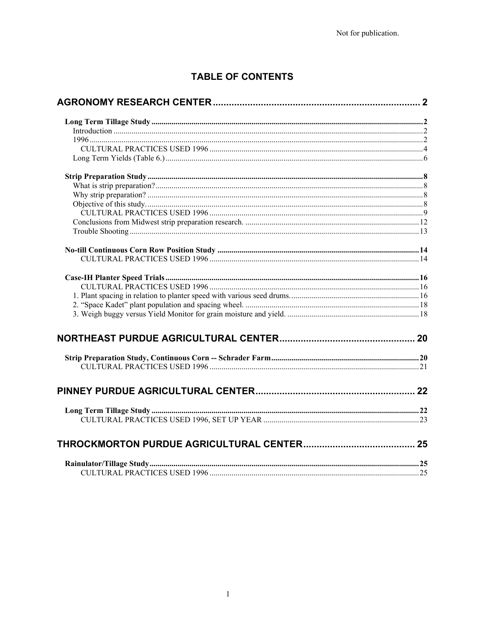# TABLE OF CONTENTS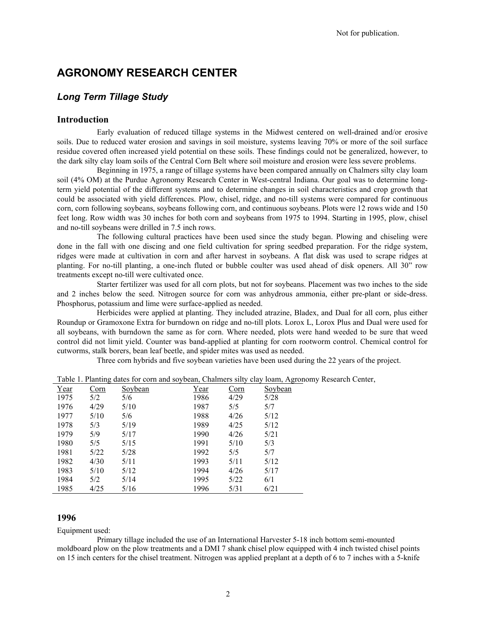# **AGRONOMY RESEARCH CENTER**

### *Long Term Tillage Study*

#### **Introduction**

Early evaluation of reduced tillage systems in the Midwest centered on well-drained and/or erosive soils. Due to reduced water erosion and savings in soil moisture, systems leaving 70% or more of the soil surface residue covered often increased yield potential on these soils. These findings could not be generalized, however, to the dark silty clay loam soils of the Central Corn Belt where soil moisture and erosion were less severe problems.

Beginning in 1975, a range of tillage systems have been compared annually on Chalmers silty clay loam soil (4% OM) at the Purdue Agronomy Research Center in West-central Indiana. Our goal was to determine longterm yield potential of the different systems and to determine changes in soil characteristics and crop growth that could be associated with yield differences. Plow, chisel, ridge, and no-till systems were compared for continuous corn, corn following soybeans, soybeans following corn, and continuous soybeans. Plots were 12 rows wide and 150 feet long. Row width was 30 inches for both corn and soybeans from 1975 to 1994. Starting in 1995, plow, chisel and no-till soybeans were drilled in 7.5 inch rows.

The following cultural practices have been used since the study began. Plowing and chiseling were done in the fall with one discing and one field cultivation for spring seedbed preparation. For the ridge system, ridges were made at cultivation in corn and after harvest in soybeans. A flat disk was used to scrape ridges at planting. For no-till planting, a one-inch fluted or bubble coulter was used ahead of disk openers. All 30" row treatments except no-till were cultivated once.

Starter fertilizer was used for all corn plots, but not for soybeans. Placement was two inches to the side and 2 inches below the seed. Nitrogen source for corn was anhydrous ammonia, either pre-plant or side-dress. Phosphorus, potassium and lime were surface-applied as needed.

Herbicides were applied at planting. They included atrazine, Bladex, and Dual for all corn, plus either Roundup or Gramoxone Extra for burndown on ridge and no-till plots. Lorox L, Lorox Plus and Dual were used for all soybeans, with burndown the same as for corn. Where needed, plots were hand weeded to be sure that weed control did not limit yield. Counter was band-applied at planting for corn rootworm control. Chemical control for cutworms, stalk borers, bean leaf beetle, and spider mites was used as needed.

Three corn hybrids and five soybean varieties have been used during the 22 years of the project.

| Year | Corn | Soybean | Year | Corn | Soybean |
|------|------|---------|------|------|---------|
| 1975 | 5/2  | 5/6     | 1986 | 4/29 | 5/28    |
| 1976 | 4/29 | 5/10    | 1987 | 5/5  | 5/7     |
| 1977 | 5/10 | 5/6     | 1988 | 4/26 | 5/12    |
| 1978 | 5/3  | 5/19    | 1989 | 4/25 | 5/12    |
| 1979 | 5/9  | 5/17    | 1990 | 4/26 | 5/21    |
| 1980 | 5/5  | 5/15    | 1991 | 5/10 | 5/3     |
| 1981 | 5/22 | 5/28    | 1992 | 5/5  | 5/7     |
| 1982 | 4/30 | 5/11    | 1993 | 5/11 | 5/12    |
| 1983 | 5/10 | 5/12    | 1994 | 4/26 | 5/17    |
| 1984 | 5/2  | 5/14    | 1995 | 5/22 | 6/1     |
| 1985 | 4/25 | 5/16    | 1996 | 5/31 | 6/21    |

Table 1. Planting dates for corn and soybean, Chalmers silty clay loam, Agronomy Research Center,

### **1996**

Equipment used:

Primary tillage included the use of an International Harvester 5-18 inch bottom semi-mounted moldboard plow on the plow treatments and a DMI 7 shank chisel plow equipped with 4 inch twisted chisel points on 15 inch centers for the chisel treatment. Nitrogen was applied preplant at a depth of 6 to 7 inches with a 5-knife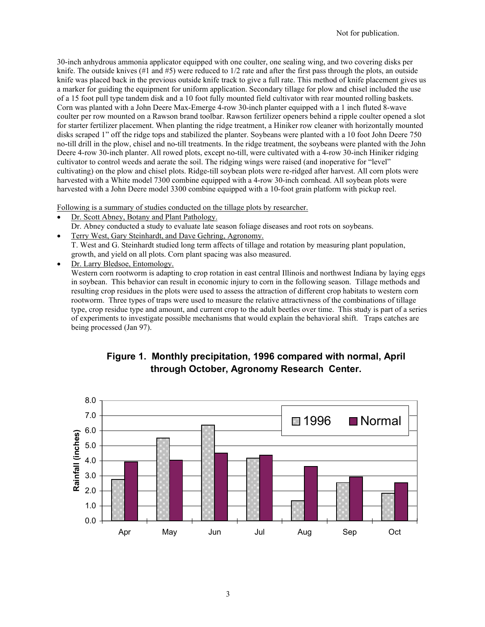30-inch anhydrous ammonia applicator equipped with one coulter, one sealing wing, and two covering disks per knife. The outside knives (#1 and #5) were reduced to  $1/2$  rate and after the first pass through the plots, an outside knife was placed back in the previous outside knife track to give a full rate. This method of knife placement gives us a marker for guiding the equipment for uniform application. Secondary tillage for plow and chisel included the use of a 15 foot pull type tandem disk and a 10 foot fully mounted field cultivator with rear mounted rolling baskets. Corn was planted with a John Deere Max-Emerge 4-row 30-inch planter equipped with a 1 inch fluted 8-wave coulter per row mounted on a Rawson brand toolbar. Rawson fertilizer openers behind a ripple coulter opened a slot for starter fertilizer placement. When planting the ridge treatment, a Hiniker row cleaner with horizontally mounted disks scraped 1" off the ridge tops and stabilized the planter. Soybeans were planted with a 10 foot John Deere 750 no-till drill in the plow, chisel and no-till treatments. In the ridge treatment, the soybeans were planted with the John Deere 4-row 30-inch planter. All rowed plots, except no-till, were cultivated with a 4-row 30-inch Hiniker ridging cultivator to control weeds and aerate the soil. The ridging wings were raised (and inoperative for "level" cultivating) on the plow and chisel plots. Ridge-till soybean plots were re-ridged after harvest. All corn plots were harvested with a White model 7300 combine equipped with a 4-row 30-inch cornhead. All soybean plots were harvested with a John Deere model 3300 combine equipped with a 10-foot grain platform with pickup reel.

Following is a summary of studies conducted on the tillage plots by researcher.

- Dr. Scott Abney, Botany and Plant Pathology.
- Dr. Abney conducted a study to evaluate late season foliage diseases and root rots on soybeans.
- Terry West, Gary Steinhardt, and Dave Gehring, Agronomy. T. West and G. Steinhardt studied long term affects of tillage and rotation by measuring plant population, growth, and yield on all plots. Corn plant spacing was also measured.
- Dr. Larry Bledsoe, Entomology.

Western corn rootworm is adapting to crop rotation in east central Illinois and northwest Indiana by laying eggs in soybean. This behavior can result in economic injury to corn in the following season. Tillage methods and resulting crop residues in the plots were used to assess the attraction of different crop habitats to western corn rootworm. Three types of traps were used to measure the relative attractivness of the combinations of tillage type, crop residue type and amount, and current crop to the adult beetles over time. This study is part of a series of experiments to investigate possible mechanisms that would explain the behavioral shift. Traps catches are being processed (Jan 97).



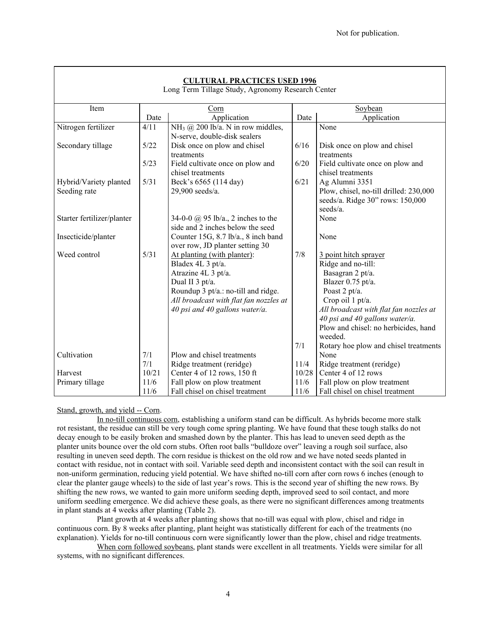|                                        |              | <b>CULTURAL PRACTICES USED 1996</b>                                                                                                                                                                           |              |                                                                                                                                                                                                                                                                                                   |
|----------------------------------------|--------------|---------------------------------------------------------------------------------------------------------------------------------------------------------------------------------------------------------------|--------------|---------------------------------------------------------------------------------------------------------------------------------------------------------------------------------------------------------------------------------------------------------------------------------------------------|
|                                        |              | Long Term Tillage Study, Agronomy Research Center                                                                                                                                                             |              |                                                                                                                                                                                                                                                                                                   |
| Item                                   |              | Corn                                                                                                                                                                                                          |              | Soybean                                                                                                                                                                                                                                                                                           |
|                                        | Date         | Application                                                                                                                                                                                                   | Date         | Application                                                                                                                                                                                                                                                                                       |
| Nitrogen fertilizer                    | 4/11         | NH <sub>3</sub> @ 200 lb/a. N in row middles,<br>N-serve, double-disk sealers                                                                                                                                 |              | None                                                                                                                                                                                                                                                                                              |
| Secondary tillage                      | 5/22         | Disk once on plow and chisel<br>treatments                                                                                                                                                                    | 6/16         | Disk once on plow and chisel<br>treatments                                                                                                                                                                                                                                                        |
|                                        | 5/23         | Field cultivate once on plow and<br>chisel treatments                                                                                                                                                         | 6/20         | Field cultivate once on plow and<br>chisel treatments                                                                                                                                                                                                                                             |
| Hybrid/Variety planted<br>Seeding rate | 5/31         | Beck's 6565 (114 day)<br>29,900 seeds/a.                                                                                                                                                                      | 6/21         | Ag Alumni 3351<br>Plow, chisel, no-till drilled: 230,000<br>seeds/a. Ridge 30" rows: 150,000<br>seeds/a.                                                                                                                                                                                          |
| Starter fertilizer/planter             |              | 34-0-0 $@$ 95 lb/a., 2 inches to the<br>side and 2 inches below the seed                                                                                                                                      |              | None                                                                                                                                                                                                                                                                                              |
| Insecticide/planter                    |              | Counter 15G, 8.7 lb/a., 8 inch band<br>over row, JD planter setting 30                                                                                                                                        |              | None                                                                                                                                                                                                                                                                                              |
| Weed control                           | 5/31         | At planting (with planter):<br>Bladex 4L 3 pt/a.<br>Atrazine 4L 3 pt/a.<br>Dual II 3 pt/a.<br>Roundup 3 pt/a.: no-till and ridge.<br>All broadcast with flat fan nozzles at<br>40 psi and 40 gallons water/a. | 7/8<br>7/1   | 3 point hitch sprayer<br>Ridge and no-till:<br>Basagran 2 pt/a.<br>Blazer 0.75 pt/a.<br>Poast 2 pt/a.<br>Crop oil 1 pt/a.<br>All broadcast with flat fan nozzles at<br>40 psi and 40 gallons water/a.<br>Plow and chisel: no herbicides, hand<br>weeded.<br>Rotary hoe plow and chisel treatments |
| Cultivation                            | 7/1          | Plow and chisel treatments                                                                                                                                                                                    |              | None                                                                                                                                                                                                                                                                                              |
|                                        | 7/1          | Ridge treatment (reridge)                                                                                                                                                                                     | 11/4         | Ridge treatment (reridge)                                                                                                                                                                                                                                                                         |
| Harvest                                | 10/21        | Center 4 of 12 rows, 150 ft                                                                                                                                                                                   | 10/28        | Center 4 of 12 rows                                                                                                                                                                                                                                                                               |
| Primary tillage                        | 11/6<br>11/6 | Fall plow on plow treatment<br>Fall chisel on chisel treatment                                                                                                                                                | 11/6<br>11/6 | Fall plow on plow treatment<br>Fall chisel on chisel treatment                                                                                                                                                                                                                                    |

#### Stand, growth, and yield -- Corn.

In no-till continuous corn, establishing a uniform stand can be difficult. As hybrids become more stalk rot resistant, the residue can still be very tough come spring planting. We have found that these tough stalks do not decay enough to be easily broken and smashed down by the planter. This has lead to uneven seed depth as the planter units bounce over the old corn stubs. Often root balls "bulldoze over" leaving a rough soil surface, also resulting in uneven seed depth. The corn residue is thickest on the old row and we have noted seeds planted in contact with residue, not in contact with soil. Variable seed depth and inconsistent contact with the soil can result in non-uniform germination, reducing yield potential. We have shifted no-till corn after corn rows 6 inches (enough to clear the planter gauge wheels) to the side of last year's rows. This is the second year of shifting the new rows. By shifting the new rows, we wanted to gain more uniform seeding depth, improved seed to soil contact, and more uniform seedling emergence. We did achieve these goals, as there were no significant differences among treatments in plant stands at 4 weeks after planting (Table 2).

Plant growth at 4 weeks after planting shows that no-till was equal with plow, chisel and ridge in continuous corn. By 8 weeks after planting, plant height was statistically different for each of the treatments (no explanation). Yields for no-till continuous corn were significantly lower than the plow, chisel and ridge treatments.

When corn followed soybeans, plant stands were excellent in all treatments. Yields were similar for all systems, with no significant differences.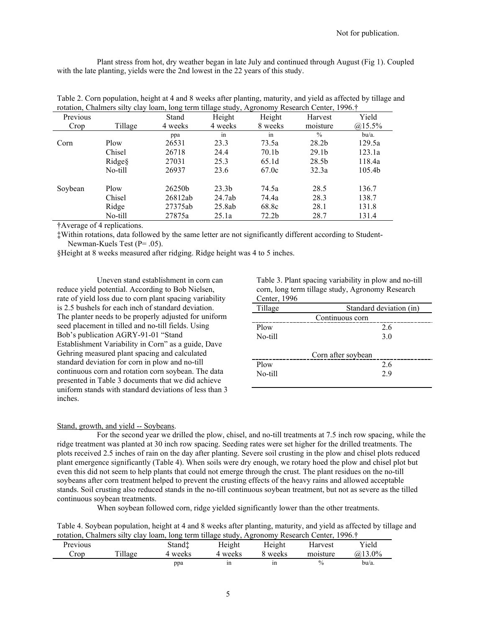Plant stress from hot, dry weather began in late July and continued through August (Fig 1). Coupled with the late planting, yields were the 2nd lowest in the 22 years of this study.

| Previous | $10.00011$ , $0.000111$ , $0.010$ , $0.001$ , $0.000$ , $0.000$ | $\sum_{i=1}^{n} \sum_{i=1}^{n} \sum_{i=1}^{n} \sum_{i=1}^{n} \sum_{i=1}^{n} \sum_{i=1}^{n} \sum_{i=1}^{n} \sum_{i=1}^{n} \sum_{i=1}^{n} \sum_{i=1}^{n} \sum_{i=1}^{n} \sum_{i=1}^{n} \sum_{i=1}^{n} \sum_{i=1}^{n} \sum_{i=1}^{n} \sum_{i=1}^{n} \sum_{i=1}^{n} \sum_{i=1}^{n} \sum_{i=1}^{n} \sum_{i=1}^{n} \sum_{i=1}^{n} \sum_{i=1}^{n}$<br>Stand | Height            | Height            | Harvest           | Yield       |
|----------|-----------------------------------------------------------------|------------------------------------------------------------------------------------------------------------------------------------------------------------------------------------------------------------------------------------------------------------------------------------------------------------------------------------------------------|-------------------|-------------------|-------------------|-------------|
| Crop     | Tillage                                                         | 4 weeks                                                                                                                                                                                                                                                                                                                                              | 4 weeks           | 8 weeks           | moisture          | $(a)$ 15.5% |
|          |                                                                 | ppa                                                                                                                                                                                                                                                                                                                                                  | in                | in                | $\frac{0}{0}$     | bu/a.       |
| Corn     | Plow                                                            | 26531                                                                                                                                                                                                                                                                                                                                                | 23.3              | 73.5a             | 28.2 <sub>b</sub> | 129.5a      |
|          | Chisel                                                          | 26718                                                                                                                                                                                                                                                                                                                                                | 24.4              | 70.1 <sub>b</sub> | 29.1 <sub>b</sub> | 123.1a      |
|          | Ridge§                                                          | 27031                                                                                                                                                                                                                                                                                                                                                | 25.3              | 65.1d             | 28.5 <sub>b</sub> | 118.4a      |
|          | No-till                                                         | 26937                                                                                                                                                                                                                                                                                                                                                | 23.6              | 67.0c             | 32.3a             | 105.4b      |
| Soybean  | Plow                                                            | 26250b                                                                                                                                                                                                                                                                                                                                               | 23.3 <sub>b</sub> | 74.5a             | 28.5              | 136.7       |
|          | Chisel                                                          | 26812ab                                                                                                                                                                                                                                                                                                                                              | 24.7ab            | 74.4a             | 28.3              | 138.7       |
|          | Ridge                                                           | 27375ab                                                                                                                                                                                                                                                                                                                                              | 25.8ab            | 68.8c             | 28.1              | 131.8       |
|          | No-till                                                         | 27875a                                                                                                                                                                                                                                                                                                                                               | 25.1a             | 72.2 <sub>b</sub> | 28.7              | 131.4       |

Table 2. Corn population, height at 4 and 8 weeks after planting, maturity, and yield as affected by tillage and rotation, Chalmers silty clay loam, long term tillage study, Agronomy Research Center, 1996.†

†Average of 4 replications.

‡Within rotations, data followed by the same letter are not significantly different according to Student-Newman-Kuels Test (P= .05).

§Height at 8 weeks measured after ridging. Ridge height was 4 to 5 inches.

Uneven stand establishment in corn can reduce yield potential. According to Bob Nielsen, rate of yield loss due to corn plant spacing variability is 2.5 bushels for each inch of standard deviation. The planter needs to be properly adjusted for uniform seed placement in tilled and no-till fields. Using Bob's publication AGRY-91-01 "Stand Establishment Variability in Corn" as a guide, Dave Gehring measured plant spacing and calculated standard deviation for corn in plow and no-till continuous corn and rotation corn soybean. The data presented in Table 3 documents that we did achieve uniform stands with standard deviations of less than 3 inches.

Table 3. Plant spacing variability in plow and no-till corn, long term tillage study, Agronomy Research Center, 1996

| Tillage         | Standard deviation (in) |  |  |  |  |
|-----------------|-------------------------|--|--|--|--|
| Continuous corn |                         |  |  |  |  |
| Plow            | 2.6                     |  |  |  |  |
| No-till         | 3.0                     |  |  |  |  |
|                 |                         |  |  |  |  |
|                 | Corn after soybean      |  |  |  |  |
| Plow            | 2.6                     |  |  |  |  |
| No-till         | 2.9                     |  |  |  |  |
|                 |                         |  |  |  |  |

#### Stand, growth, and yield -- Soybeans.

For the second year we drilled the plow, chisel, and no-till treatments at 7.5 inch row spacing, while the ridge treatment was planted at 30 inch row spacing. Seeding rates were set higher for the drilled treatments. The plots received 2.5 inches of rain on the day after planting. Severe soil crusting in the plow and chisel plots reduced plant emergence significantly (Table 4). When soils were dry enough, we rotary hoed the plow and chisel plot but even this did not seem to help plants that could not emerge through the crust. The plant residues on the no-till soybeans after corn treatment helped to prevent the crusting effects of the heavy rains and allowed acceptable stands. Soil crusting also reduced stands in the no-till continuous soybean treatment, but not as severe as the tilled continuous soybean treatments.

When soybean followed corn, ridge yielded significantly lower than the other treatments.

Table 4. Soybean population, height at 4 and 8 weeks after planting, maturity, and yield as affected by tillage and rotation, Chalmers silty clay loam, long term tillage study, Agronomy Research Center, 1996.†

|               | -----   |         |         |         |          | -----      |
|---------------|---------|---------|---------|---------|----------|------------|
| Previous      |         | Standt  | Height  | Height  | Harvest  | Yield      |
| $C_{\rm TOP}$ | Tillage | 4 weeks | 4 weeks | 8 weeks | moisture | $@.13.0\%$ |
|               |         | ppa     | 1n      | 1n      | $\%$     | bu/a.      |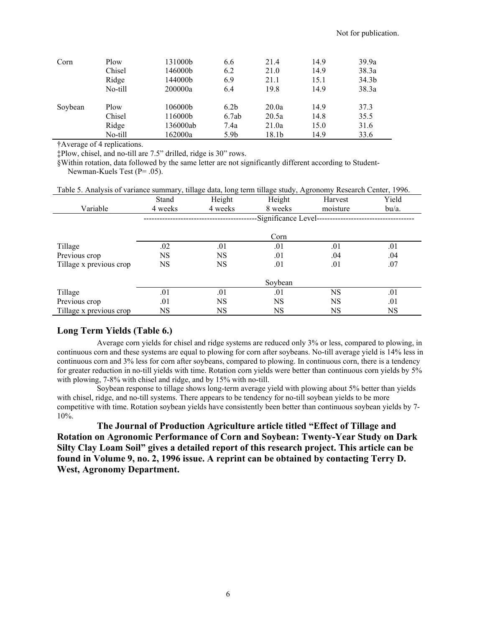| Corn    | Plow    | 131000b  | 6.6              | 21.4  | 14.9 | 39.9a             |
|---------|---------|----------|------------------|-------|------|-------------------|
|         | Chisel  | 146000b  | 6.2              | 21.0  | 14.9 | 38.3a             |
|         | Ridge   | 144000b  | 6.9              | 21.1  | 15.1 | 34.3 <sub>b</sub> |
|         | No-till | 200000a  | 6.4              | 19.8  | 14.9 | 38.3a             |
| Soybean | Plow    | 106000b  | 6.2 <sub>b</sub> | 20.0a | 14.9 | 37.3              |
|         | Chisel  | 116000b  | 6.7ab            | 20.5a | 14.8 | 35.5              |
|         | Ridge   | 136000ab | 7.4a             | 21.0a | 15.0 | 31.6              |
|         | No-till | 162000a  | 5.9 <sub>b</sub> | 18.1b | 14.9 | 33.6              |

†Average of 4 replications.

‡Plow, chisel, and no-till are 7.5" drilled, ridge is 30" rows.

§Within rotation, data followed by the same letter are not significantly different according to Student-Newman-Kuels Test (P= .05).

| Table 5. Analysis of variance summary, tillage data, long term tillage study, Agronomy Research Center, 1996. |  |  |
|---------------------------------------------------------------------------------------------------------------|--|--|
|                                                                                                               |  |  |

|                         | Stand     | Height  | Height  | Harvest  | Yield |
|-------------------------|-----------|---------|---------|----------|-------|
| Variable                | 4 weeks   | 4 weeks | 8 weeks | moisture | bu/a. |
|                         |           |         |         |          |       |
|                         |           |         | Corn    |          |       |
| Tillage                 | .02       | .01     | .01     | .01      | .01   |
| Previous crop           | <b>NS</b> | NS      | .01     | .04      | .04   |
| Tillage x previous crop | <b>NS</b> | NS      | .01     | .01      | .07   |
|                         |           |         | Soybean |          |       |
| Tillage                 | .01       | .01     | .01     | NS       | .01   |
| Previous crop           | .01       | NS      | NS      | NS       | .01   |
| Tillage x previous crop | NS        | NS      | NS      | NS       | NS    |

### **Long Term Yields (Table 6.)**

Average corn yields for chisel and ridge systems are reduced only 3% or less, compared to plowing, in continuous corn and these systems are equal to plowing for corn after soybeans. No-till average yield is 14% less in continuous corn and 3% less for corn after soybeans, compared to plowing. In continuous corn, there is a tendency for greater reduction in no-till yields with time. Rotation corn yields were better than continuous corn yields by 5% with plowing, 7-8% with chisel and ridge, and by 15% with no-till.

Soybean response to tillage shows long-term average yield with plowing about 5% better than yields with chisel, ridge, and no-till systems. There appears to be tendency for no-till soybean yields to be more competitive with time. Rotation soybean yields have consistently been better than continuous soybean yields by 7- 10%.

**The Journal of Production Agriculture article titled "Effect of Tillage and Rotation on Agronomic Performance of Corn and Soybean: Twenty-Year Study on Dark Silty Clay Loam Soil" gives a detailed report of this research project. This article can be found in Volume 9, no. 2, 1996 issue. A reprint can be obtained by contacting Terry D. West, Agronomy Department.**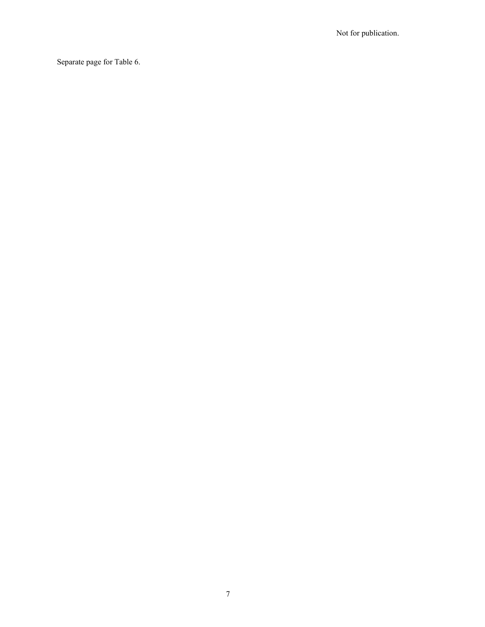Separate page for Table 6.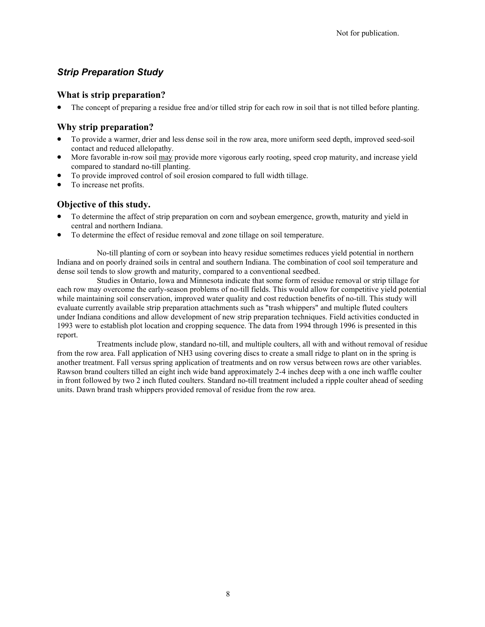## *Strip Preparation Study*

### **What is strip preparation?**

The concept of preparing a residue free and/or tilled strip for each row in soil that is not tilled before planting.

## **Why strip preparation?**

- To provide a warmer, drier and less dense soil in the row area, more uniform seed depth, improved seed-soil contact and reduced allelopathy.
- More favorable in-row soil may provide more vigorous early rooting, speed crop maturity, and increase yield compared to standard no-till planting.
- To provide improved control of soil erosion compared to full width tillage.
- To increase net profits.

## **Objective of this study.**

- To determine the affect of strip preparation on corn and soybean emergence, growth, maturity and yield in central and northern Indiana.
- To determine the effect of residue removal and zone tillage on soil temperature.

No-till planting of corn or soybean into heavy residue sometimes reduces yield potential in northern Indiana and on poorly drained soils in central and southern Indiana. The combination of cool soil temperature and dense soil tends to slow growth and maturity, compared to a conventional seedbed.

Studies in Ontario, Iowa and Minnesota indicate that some form of residue removal or strip tillage for each row may overcome the early-season problems of no-till fields. This would allow for competitive yield potential while maintaining soil conservation, improved water quality and cost reduction benefits of no-till. This study will evaluate currently available strip preparation attachments such as "trash whippers" and multiple fluted coulters under Indiana conditions and allow development of new strip preparation techniques. Field activities conducted in 1993 were to establish plot location and cropping sequence. The data from 1994 through 1996 is presented in this report.

Treatments include plow, standard no-till, and multiple coulters, all with and without removal of residue from the row area. Fall application of NH3 using covering discs to create a small ridge to plant on in the spring is another treatment. Fall versus spring application of treatments and on row versus between rows are other variables. Rawson brand coulters tilled an eight inch wide band approximately 2-4 inches deep with a one inch waffle coulter in front followed by two 2 inch fluted coulters. Standard no-till treatment included a ripple coulter ahead of seeding units. Dawn brand trash whippers provided removal of residue from the row area.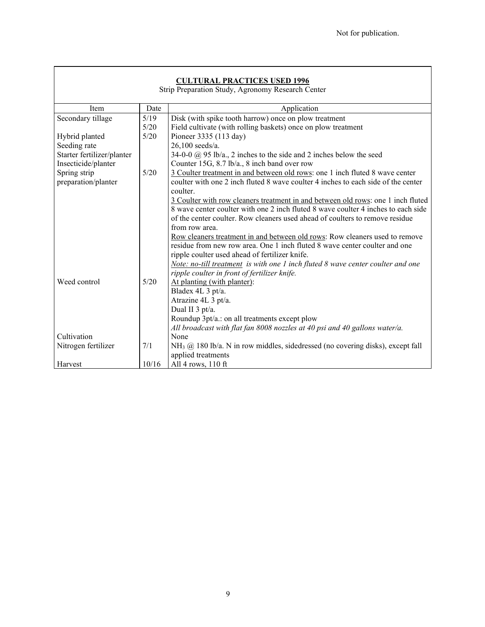### **CULTURAL PRACTICES USED 1996**

Strip Preparation Study, Agronomy Research Center

| Item                       | Date   | Application                                                                                 |
|----------------------------|--------|---------------------------------------------------------------------------------------------|
| Secondary tillage          | 5/19   | Disk (with spike tooth harrow) once on plow treatment                                       |
|                            | 5/20   | Field cultivate (with rolling baskets) once on plow treatment                               |
| Hybrid planted             | 5/20   | Pioneer 3335 (113 day)                                                                      |
| Seeding rate               |        | 26,100 seeds/a.                                                                             |
| Starter fertilizer/planter |        | 34-0-0 $\omega$ 95 lb/a., 2 inches to the side and 2 inches below the seed                  |
| Insecticide/planter        |        | Counter 15G, 8.7 lb/a., 8 inch band over row                                                |
| Spring strip               | $5/20$ | 3 Coulter treatment in and between old rows: one 1 inch fluted 8 wave center                |
| preparation/planter        |        | coulter with one 2 inch fluted 8 wave coulter 4 inches to each side of the center           |
|                            |        | coulter.                                                                                    |
|                            |        | 3 Coulter with row cleaners treatment in and between old rows: one 1 inch fluted            |
|                            |        | 8 wave center coulter with one 2 inch fluted 8 wave coulter 4 inches to each side           |
|                            |        | of the center coulter. Row cleaners used ahead of coulters to remove residue                |
|                            |        | from row area.                                                                              |
|                            |        | Row cleaners treatment in and between old rows: Row cleaners used to remove                 |
|                            |        | residue from new row area. One 1 inch fluted 8 wave center coulter and one                  |
|                            |        | ripple coulter used ahead of fertilizer knife.                                              |
|                            |        | Note: no-till treatment is with one 1 inch fluted 8 wave center coulter and one             |
|                            |        | ripple coulter in front of fertilizer knife.                                                |
| Weed control               | 5/20   | At planting (with planter):                                                                 |
|                            |        | Bladex 4L 3 pt/a.                                                                           |
|                            |        | Atrazine 4L 3 pt/a.                                                                         |
|                            |        | Dual II 3 pt/a.                                                                             |
|                            |        | Roundup 3pt/a.: on all treatments except plow                                               |
|                            |        | All broadcast with flat fan 8008 nozzles at 40 psi and 40 gallons water/a.                  |
| Cultivation                |        | None                                                                                        |
| Nitrogen fertilizer        | 7/1    | $NH3$ ( $\omega$ ) 180 lb/a. N in row middles, sidedressed (no covering disks), except fall |
|                            |        | applied treatments                                                                          |
| Harvest                    | 10/16  | All 4 rows, $110$ ft                                                                        |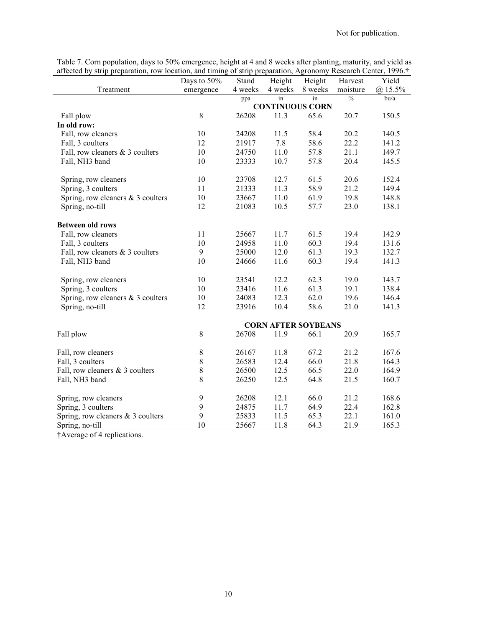| anctica by strip preparation, fow location, and thing of strip preparation, Agronomy Kescaren Center, 1990. [ | Days to 50% | Stand   | Height  | Height                     | Harvest       | Yield       |
|---------------------------------------------------------------------------------------------------------------|-------------|---------|---------|----------------------------|---------------|-------------|
| Treatment                                                                                                     | emergence   | 4 weeks | 4 weeks | 8 weeks                    | moisture      | $(a)$ 15.5% |
|                                                                                                               |             | ppa     | in      | in                         | $\frac{0}{0}$ | bu/a.       |
|                                                                                                               |             |         |         | <b>CONTINUOUS CORN</b>     |               |             |
| Fall plow                                                                                                     | 8           | 26208   | 11.3    | 65.6                       | 20.7          | 150.5       |
| In old row:                                                                                                   |             |         |         |                            |               |             |
| Fall, row cleaners                                                                                            | 10          | 24208   | 11.5    | 58.4                       | 20.2          | 140.5       |
| Fall, 3 coulters                                                                                              | 12          | 21917   | 7.8     | 58.6                       | 22.2          | 141.2       |
| Fall, row cleaners & 3 coulters                                                                               | 10          | 24750   | 11.0    | 57.8                       | 21.1          | 149.7       |
| Fall, NH3 band                                                                                                | 10          | 23333   | 10.7    | 57.8                       | 20.4          | 145.5       |
|                                                                                                               |             |         |         |                            |               |             |
| Spring, row cleaners                                                                                          | 10          | 23708   | 12.7    | 61.5                       | 20.6          | 152.4       |
| Spring, 3 coulters                                                                                            | 11          | 21333   | 11.3    | 58.9                       | 21.2          | 149.4       |
| Spring, row cleaners $& 3$ coulters                                                                           | 10          | 23667   | 11.0    | 61.9                       | 19.8          | 148.8       |
| Spring, no-till                                                                                               | 12          | 21083   | 10.5    | 57.7                       | 23.0          | 138.1       |
|                                                                                                               |             |         |         |                            |               |             |
| <b>Between old rows</b>                                                                                       |             |         |         |                            |               |             |
| Fall, row cleaners                                                                                            | 11          | 25667   | 11.7    | 61.5                       | 19.4          | 142.9       |
| Fall, 3 coulters                                                                                              | 10          | 24958   | 11.0    | 60.3                       | 19.4          | 131.6       |
| Fall, row cleaners & 3 coulters                                                                               | 9           | 25000   | 12.0    | 61.3                       | 19.3          | 132.7       |
| Fall, NH3 band                                                                                                | 10          | 24666   | 11.6    | 60.3                       | 19.4          | 141.3       |
|                                                                                                               |             |         |         |                            |               |             |
| Spring, row cleaners                                                                                          | 10          | 23541   | 12.2    | 62.3                       | 19.0          | 143.7       |
| Spring, 3 coulters                                                                                            | 10          | 23416   | 11.6    | 61.3                       | 19.1          | 138.4       |
| Spring, row cleaners $& 3$ coulters                                                                           | 10          | 24083   | 12.3    | 62.0                       | 19.6          | 146.4       |
| Spring, no-till                                                                                               | 12          | 23916   | 10.4    | 58.6                       | 21.0          | 141.3       |
|                                                                                                               |             |         |         |                            |               |             |
|                                                                                                               |             |         |         | <b>CORN AFTER SOYBEANS</b> |               |             |
| Fall plow                                                                                                     | $8\,$       | 26708   | 11.9    | 66.1                       | 20.9          | 165.7       |
|                                                                                                               |             |         |         |                            |               |             |
| Fall, row cleaners                                                                                            | $\,$ 8 $\,$ | 26167   | 11.8    | 67.2                       | 21.2          | 167.6       |
| Fall, 3 coulters                                                                                              | 8           | 26583   | 12.4    | 66.0                       | 21.8          | 164.3       |
| Fall, row cleaners & 3 coulters                                                                               | 8           | 26500   | 12.5    | 66.5                       | 22.0          | 164.9       |
| Fall, NH3 band                                                                                                | 8           | 26250   | 12.5    | 64.8                       | 21.5          | 160.7       |
|                                                                                                               |             |         |         |                            |               |             |
| Spring, row cleaners                                                                                          | 9           | 26208   | 12.1    | 66.0                       | 21.2          | 168.6       |
| Spring, 3 coulters                                                                                            | 9           | 24875   | 11.7    | 64.9                       | 22.4          | 162.8       |
| Spring, row cleaners $& 3$ coulters                                                                           | 9           | 25833   | 11.5    | 65.3                       | 22.1          | 161.0       |
| Spring, no-till                                                                                               | 10          | 25667   | 11.8    | 64.3                       | 21.9          | 165.3       |

Table 7. Corn population, days to 50% emergence, height at 4 and 8 weeks after planting, maturity, and yield as affected by strip preparation, row location, and timing of strip preparation, Agronomy Research Center, 1996.†

†Average of 4 replications.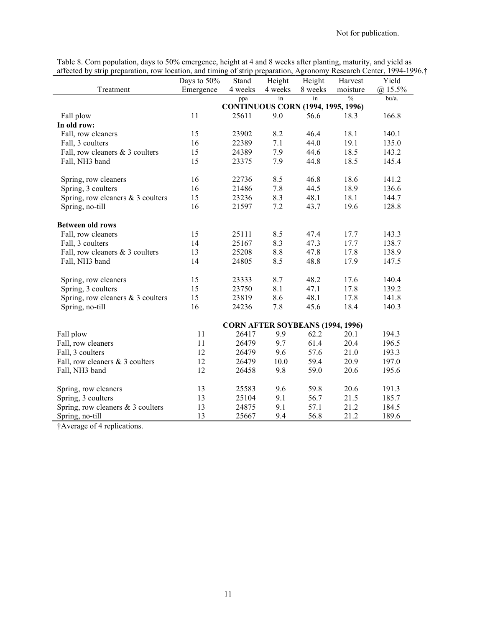| aliccica ov<br>strip preparation, fow location, and thing of strip preparation, Agronomy Research Center, 1774-177 | Days to 50% | Stand   | Height  | Height                                    | Harvest       | Yield       |
|--------------------------------------------------------------------------------------------------------------------|-------------|---------|---------|-------------------------------------------|---------------|-------------|
| Treatment                                                                                                          | Emergence   | 4 weeks | 4 weeks | 8 weeks                                   | moisture      | $(a)$ 15.5% |
|                                                                                                                    |             | ppa     | in      | in                                        | $\frac{0}{0}$ | bu/a.       |
|                                                                                                                    |             |         |         | <b>CONTINUOUS CORN (1994, 1995, 1996)</b> |               |             |
| Fall plow                                                                                                          | $11\,$      | 25611   | 9.0     | 56.6                                      | 18.3          | 166.8       |
| In old row:                                                                                                        |             |         |         |                                           |               |             |
| Fall, row cleaners                                                                                                 | 15          | 23902   | 8.2     | 46.4                                      | 18.1          | 140.1       |
| Fall, 3 coulters                                                                                                   | 16          | 22389   | 7.1     | 44.0                                      | 19.1          | 135.0       |
| Fall, row cleaners & 3 coulters                                                                                    | 15          | 24389   | 7.9     | 44.6                                      | 18.5          | 143.2       |
| Fall, NH3 band                                                                                                     | 15          | 23375   | 7.9     | 44.8                                      | 18.5          | 145.4       |
| Spring, row cleaners                                                                                               | 16          | 22736   | 8.5     | 46.8                                      | 18.6          | 141.2       |
| Spring, 3 coulters                                                                                                 | 16          | 21486   | 7.8     | 44.5                                      | 18.9          | 136.6       |
| Spring, row cleaners $& 3$ coulters                                                                                | 15          | 23236   | 8.3     | 48.1                                      | 18.1          | 144.7       |
| Spring, no-till                                                                                                    | 16          | 21597   | 7.2     | 43.7                                      | 19.6          | 128.8       |
| <b>Between old rows</b>                                                                                            |             |         |         |                                           |               |             |
| Fall, row cleaners                                                                                                 | 15          | 25111   | 8.5     | 47.4                                      | 17.7          | 143.3       |
| Fall, 3 coulters                                                                                                   | 14          | 25167   | 8.3     | 47.3                                      | 17.7          | 138.7       |
| Fall, row cleaners & 3 coulters                                                                                    | 13          | 25208   | 8.8     | 47.8                                      | 17.8          | 138.9       |
| Fall, NH3 band                                                                                                     | 14          | 24805   | 8.5     | 48.8                                      | 17.9          | 147.5       |
| Spring, row cleaners                                                                                               | 15          | 23333   | 8.7     | 48.2                                      | 17.6          | 140.4       |
| Spring, 3 coulters                                                                                                 | 15          | 23750   | 8.1     | 47.1                                      | 17.8          | 139.2       |
| Spring, row cleaners $& 3$ coulters                                                                                | 15          | 23819   | 8.6     | 48.1                                      | 17.8          | 141.8       |
| Spring, no-till                                                                                                    | 16          | 24236   | 7.8     | 45.6                                      | 18.4          | 140.3       |
|                                                                                                                    |             |         |         | <b>CORN AFTER SOYBEANS (1994, 1996)</b>   |               |             |
| Fall plow                                                                                                          | 11          | 26417   | 9.9     | 62.2                                      | 20.1          | 194.3       |
| Fall, row cleaners                                                                                                 | 11          | 26479   | 9.7     | 61.4                                      | 20.4          | 196.5       |
| Fall, 3 coulters                                                                                                   | 12          | 26479   | 9.6     | 57.6                                      | 21.0          | 193.3       |
| Fall, row cleaners & 3 coulters                                                                                    | 12          | 26479   | 10.0    | 59.4                                      | 20.9          | 197.0       |
| Fall, NH3 band                                                                                                     | 12          | 26458   | 9.8     | 59.0                                      | 20.6          | 195.6       |
| Spring, row cleaners                                                                                               | 13          | 25583   | 9.6     | 59.8                                      | 20.6          | 191.3       |
| Spring, 3 coulters                                                                                                 | 13          | 25104   | 9.1     | 56.7                                      | 21.5          | 185.7       |
| Spring, row cleaners & 3 coulters                                                                                  | 13          | 24875   | 9.1     | 57.1                                      | 21.2          | 184.5       |
| Spring, no-till                                                                                                    | 13          | 25667   | 9.4     | 56.8                                      | 21.2          | 189.6       |

Table 8. Corn population, days to 50% emergence, height at 4 and 8 weeks after planting, maturity, and yield as affected by strip preparation, row location, and timing of strip preparation, Agronomy Research Center, 1994-1996.†

†Average of 4 replications.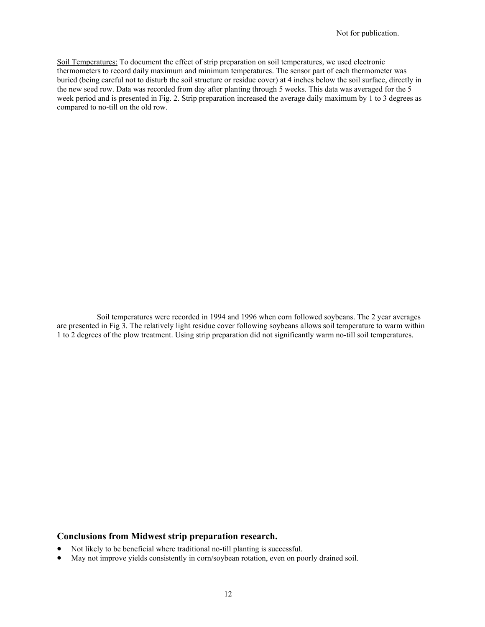Soil Temperatures: To document the effect of strip preparation on soil temperatures, we used electronic thermometers to record daily maximum and minimum temperatures. The sensor part of each thermometer was buried (being careful not to disturb the soil structure or residue cover) at 4 inches below the soil surface, directly in the new seed row. Data was recorded from day after planting through 5 weeks. This data was averaged for the 5 week period and is presented in Fig. 2. Strip preparation increased the average daily maximum by 1 to 3 degrees as compared to no-till on the old row.

Soil temperatures were recorded in 1994 and 1996 when corn followed soybeans. The 2 year averages are presented in Fig 3. The relatively light residue cover following soybeans allows soil temperature to warm within 1 to 2 degrees of the plow treatment. Using strip preparation did not significantly warm no-till soil temperatures.

#### **Conclusions from Midwest strip preparation research.**

- Not likely to be beneficial where traditional no-till planting is successful.
- May not improve yields consistently in corn/soybean rotation, even on poorly drained soil.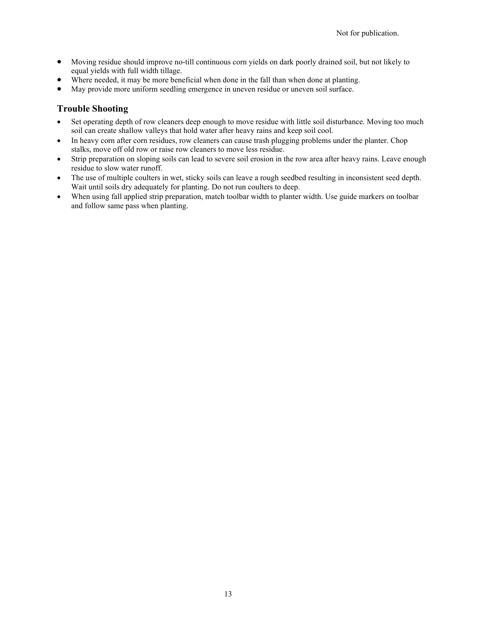- Moving residue should improve no-till continuous corn yields on dark poorly drained soil, but not likely to equal yields with full width tillage.
- Where needed, it may be more beneficial when done in the fall than when done at planting.
- May provide more uniform seedling emergence in uneven residue or uneven soil surface.

## **Trouble Shooting**

- Set operating depth of row cleaners deep enough to move residue with little soil disturbance. Moving too much soil can create shallow valleys that hold water after heavy rains and keep soil cool.
- In heavy corn after corn residues, row cleaners can cause trash plugging problems under the planter. Chop stalks, move off old row or raise row cleaners to move less residue.
- Strip preparation on sloping soils can lead to severe soil erosion in the row area after heavy rains. Leave enough residue to slow water runoff.
- The use of multiple coulters in wet, sticky soils can leave a rough seedbed resulting in inconsistent seed depth. Wait until soils dry adequately for planting. Do not run coulters to deep.
- When using fall applied strip preparation, match toolbar width to planter width. Use guide markers on toolbar and follow same pass when planting.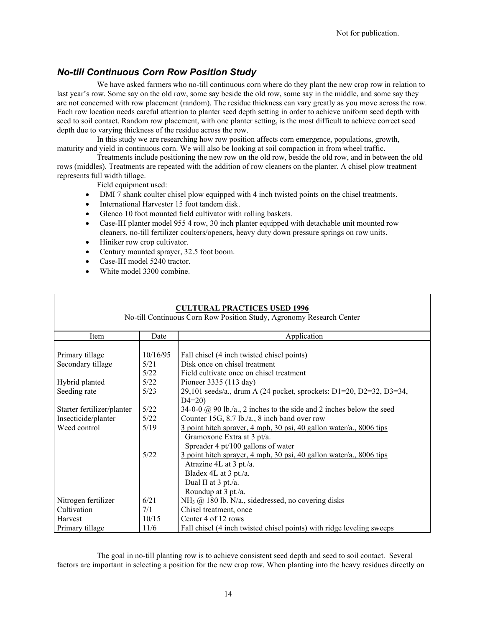## *No-till Continuous Corn Row Position Study*

We have asked farmers who no-till continuous corn where do they plant the new crop row in relation to last year's row. Some say on the old row, some say beside the old row, some say in the middle, and some say they are not concerned with row placement (random). The residue thickness can vary greatly as you move across the row. Each row location needs careful attention to planter seed depth setting in order to achieve uniform seed depth with seed to soil contact. Random row placement, with one planter setting, is the most difficult to achieve correct seed depth due to varying thickness of the residue across the row.

In this study we are researching how row position affects corn emergence, populations, growth, maturity and yield in continuous corn. We will also be looking at soil compaction in from wheel traffic.

Treatments include positioning the new row on the old row, beside the old row, and in between the old rows (middles). Treatments are repeated with the addition of row cleaners on the planter. A chisel plow treatment represents full width tillage.

Field equipment used:

- DMI 7 shank coulter chisel plow equipped with 4 inch twisted points on the chisel treatments.
- International Harvester 15 foot tandem disk.
- Glenco 10 foot mounted field cultivator with rolling baskets.
- Case-IH planter model 955 4 row, 30 inch planter equipped with detachable unit mounted row cleaners, no-till fertilizer coulters/openers, heavy duty down pressure springs on row units.
- Hiniker row crop cultivator.
- Century mounted sprayer, 32.5 foot boom.
- Case-IH model 5240 tractor.
- White model 3300 combine.

| <b>CULTURAL PRACTICES USED 1996</b> |          |                                                                             |  |  |  |
|-------------------------------------|----------|-----------------------------------------------------------------------------|--|--|--|
|                                     |          | No-till Continuous Corn Row Position Study, Agronomy Research Center        |  |  |  |
| Item                                | Date     | Application                                                                 |  |  |  |
| Primary tillage                     | 10/16/95 | Fall chisel (4 inch twisted chisel points)                                  |  |  |  |
| Secondary tillage                   | 5/21     | Disk once on chisel treatment                                               |  |  |  |
|                                     | 5/22     | Field cultivate once on chisel treatment                                    |  |  |  |
| Hybrid planted                      | 5/22     | Pioneer 3335 (113 day)                                                      |  |  |  |
| Seeding rate                        | 5/23     | 29,101 seeds/a., drum A (24 pocket, sprockets: D1=20, D2=32, D3=34,         |  |  |  |
|                                     |          | $D4=20$                                                                     |  |  |  |
| Starter fertilizer/planter          | 5/22     | 34-0-0 $\omega$ 90 lb./a., 2 inches to the side and 2 inches below the seed |  |  |  |
| Insecticide/planter                 | 5/22     | Counter 15G, 8.7 lb./a., 8 inch band over row                               |  |  |  |
| Weed control                        | 5/19     | 3 point hitch sprayer, 4 mph, 30 psi, 40 gallon water/a., 8006 tips         |  |  |  |
|                                     |          | Gramoxone Extra at 3 pt/a.                                                  |  |  |  |
|                                     |          | Spreader 4 pt/100 gallons of water                                          |  |  |  |
|                                     | 5/22     | 3 point hitch sprayer, 4 mph, 30 psi, 40 gallon water/a., 8006 tips         |  |  |  |
|                                     |          | Atrazine 4L at 3 pt./a.                                                     |  |  |  |
|                                     |          | Bladex 4L at 3 pt./a.                                                       |  |  |  |
|                                     |          | Dual II at 3 pt./a.                                                         |  |  |  |
|                                     |          | Roundup at 3 pt./a.                                                         |  |  |  |
| Nitrogen fertilizer                 | 6/21     | NH <sub>3</sub> @ 180 lb. N/a., sidedressed, no covering disks              |  |  |  |
| Cultivation                         | 7/1      | Chisel treatment, once                                                      |  |  |  |
| Harvest                             | 10/15    | Center 4 of 12 rows                                                         |  |  |  |
| Primary tillage                     | 11/6     | Fall chisel (4 inch twisted chisel points) with ridge leveling sweeps       |  |  |  |

The goal in no-till planting row is to achieve consistent seed depth and seed to soil contact. Several factors are important in selecting a position for the new crop row. When planting into the heavy residues directly on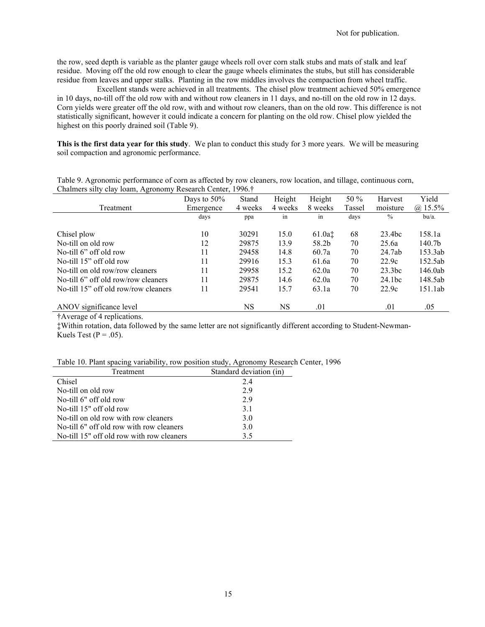the row, seed depth is variable as the planter gauge wheels roll over corn stalk stubs and mats of stalk and leaf residue. Moving off the old row enough to clear the gauge wheels eliminates the stubs, but still has considerable residue from leaves and upper stalks. Planting in the row middles involves the compaction from wheel traffic.

Excellent stands were achieved in all treatments. The chisel plow treatment achieved 50% emergence in 10 days, no-till off the old row with and without row cleaners in 11 days, and no-till on the old row in 12 days. Corn yields were greater off the old row, with and without row cleaners, than on the old row. This difference is not statistically significant, however it could indicate a concern for planting on the old row. Chisel plow yielded the highest on this poorly drained soil (Table 9).

**This is the first data year for this study**. We plan to conduct this study for 3 more years. We will be measuring soil compaction and agronomic performance.

| Channels sitty clay ioain, Agronomy Research Center, 1990. |                |         |           |         |        |                    |                       |  |
|------------------------------------------------------------|----------------|---------|-----------|---------|--------|--------------------|-----------------------|--|
|                                                            | Days to $50\%$ | Stand   | Height    | Height  | 50 %   | Harvest            | Yield                 |  |
| Treatment                                                  | Emergence      | 4 weeks | 4 weeks   | 8 weeks | Tassel | moisture           | ( <i>a</i> ) $15.5\%$ |  |
|                                                            | days           | ppa     | in        | in      | days   | $\frac{0}{0}$      | bu/a.                 |  |
|                                                            |                |         |           |         |        |                    |                       |  |
| Chisel plow                                                | 10             | 30291   | 15.0      | 61.0a   | 68     | 23.4 <sub>bc</sub> | 158.1a                |  |
| No-till on old row                                         | 12             | 29875   | 13.9      | 58.2b   | 70     | 25.6a              | 140.7 <sub>b</sub>    |  |
| No-till 6" off old row                                     | 11             | 29458   | 14.8      | 60.7a   | 70     | 24.7ab             | 153.3ab               |  |
| No-till 15" off old row                                    | 11             | 29916   | 15.3      | 61.6a   | 70     | 22.9c              | 152.5ab               |  |
| No-till on old row/row cleaners                            | 11             | 29958   | 15.2      | 62.0a   | 70     | 23.3 <sub>bc</sub> | 146.0ab               |  |
| No-till 6" off old row/row cleaners                        | 11             | 29875   | 14.6      | 62.0a   | 70     | 24.1 <sub>bc</sub> | 148.5ab               |  |
| No-till 15" off old row/row cleaners                       | 11             | 29541   | 15.7      | 63.1a   | 70     | 22.9c              | 151.1ab               |  |
|                                                            |                |         |           |         |        |                    |                       |  |
| ANOV significance level                                    |                | NS      | <b>NS</b> | .01     |        | .01                | .05                   |  |

Table 9. Agronomic performance of corn as affected by row cleaners, row location, and tillage, continuous corn, Chalmers silty clay loam, Agronomy Research Center, 1996.†

#### †Average of 4 replications.

‡Within rotation, data followed by the same letter are not significantly different according to Student-Newman-Kuels Test ( $P = .05$ ).

| Table 10. Plant spacing variability, row position study, Agronomy Research Center, 1996 |  |  |  |  |
|-----------------------------------------------------------------------------------------|--|--|--|--|
|                                                                                         |  |  |  |  |

| Treatment                                 | Standard deviation (in) |
|-------------------------------------------|-------------------------|
| Chisel                                    | 2.4                     |
| No-till on old row                        | 2.9                     |
| No-till 6" off old row                    | 2.9                     |
| No-till 15" off old row                   | 3.1                     |
| No-till on old row with row cleaners      | 3.0                     |
| No-till 6" off old row with row cleaners  | 3.0                     |
| No-till 15" off old row with row cleaners | 3.5                     |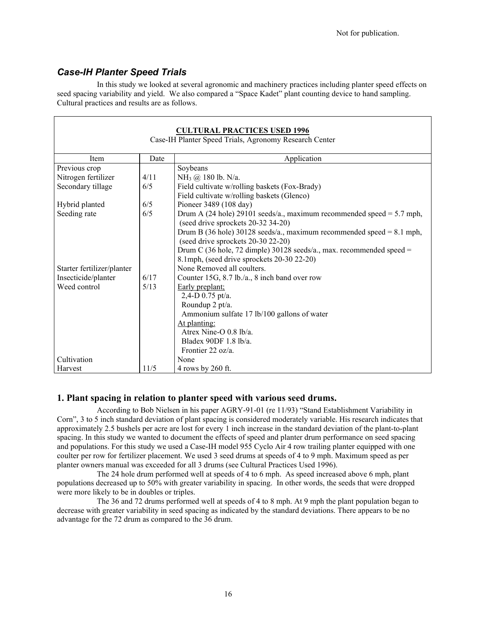## *Case-IH Planter Speed Trials*

In this study we looked at several agronomic and machinery practices including planter speed effects on seed spacing variability and yield. We also compared a "Space Kadet" plant counting device to hand sampling. Cultural practices and results are as follows.

| <b>CULTURAL PRACTICES USED 1996</b><br>Case-IH Planter Speed Trials, Agronomy Research Center |      |                                                                                                               |  |  |  |  |
|-----------------------------------------------------------------------------------------------|------|---------------------------------------------------------------------------------------------------------------|--|--|--|--|
| Item                                                                                          | Date | Application                                                                                                   |  |  |  |  |
| Previous crop                                                                                 |      | Soybeans                                                                                                      |  |  |  |  |
| Nitrogen fertilizer                                                                           | 4/11 | NH <sub>3</sub> @ 180 lb. N/a.                                                                                |  |  |  |  |
| Secondary tillage                                                                             | 6/5  | Field cultivate w/rolling baskets (Fox-Brady)                                                                 |  |  |  |  |
|                                                                                               |      | Field cultivate w/rolling baskets (Glenco)                                                                    |  |  |  |  |
| Hybrid planted                                                                                | 6/5  | Pioneer 3489 (108 day)                                                                                        |  |  |  |  |
| Seeding rate                                                                                  | 6/5  | Drum A (24 hole) 29101 seeds/a., maximum recommended speed = 5.7 mph,<br>(seed drive sprockets 20-32 34-20)   |  |  |  |  |
|                                                                                               |      | Drum B (36 hole) 30128 seeds/a., maximum recommended speed = $8.1$ mph,<br>(seed drive sprockets 20-30 22-20) |  |  |  |  |
|                                                                                               |      | Drum C (36 hole, 72 dimple) 30128 seeds/a., max. recommended speed =                                          |  |  |  |  |
|                                                                                               |      | 8.1mph, (seed drive sprockets 20-30 22-20)                                                                    |  |  |  |  |
| Starter fertilizer/planter                                                                    |      | None Removed all coulters.                                                                                    |  |  |  |  |
| Insecticide/planter                                                                           | 6/17 | Counter 15G, 8.7 lb./a., 8 inch band over row                                                                 |  |  |  |  |
| Weed control                                                                                  | 5/13 | Early preplant;                                                                                               |  |  |  |  |
|                                                                                               |      | 2,4-D 0.75 pt/a.                                                                                              |  |  |  |  |
|                                                                                               |      | Roundup 2 pt/a.                                                                                               |  |  |  |  |
|                                                                                               |      | Ammonium sulfate 17 lb/100 gallons of water                                                                   |  |  |  |  |
|                                                                                               |      | At planting:                                                                                                  |  |  |  |  |
|                                                                                               |      | Atrex Nine-O $0.8$ lb/a.                                                                                      |  |  |  |  |
|                                                                                               |      | Bladex $90DF$ 1.8 lb/a.                                                                                       |  |  |  |  |
|                                                                                               |      | Frontier 22 oz/a.                                                                                             |  |  |  |  |
| Cultivation                                                                                   |      | None                                                                                                          |  |  |  |  |
| Harvest                                                                                       | 11/5 | 4 rows by 260 ft.                                                                                             |  |  |  |  |

### **1. Plant spacing in relation to planter speed with various seed drums.**

According to Bob Nielsen in his paper AGRY-91-01 (re 11/93) "Stand Establishment Variability in Corn", 3 to 5 inch standard deviation of plant spacing is considered moderately variable. His research indicates that approximately 2.5 bushels per acre are lost for every 1 inch increase in the standard deviation of the plant-to-plant spacing. In this study we wanted to document the effects of speed and planter drum performance on seed spacing and populations. For this study we used a Case-IH model 955 Cyclo Air 4 row trailing planter equipped with one coulter per row for fertilizer placement. We used 3 seed drums at speeds of 4 to 9 mph. Maximum speed as per planter owners manual was exceeded for all 3 drums (see Cultural Practices Used 1996).

The 24 hole drum performed well at speeds of 4 to 6 mph. As speed increased above 6 mph, plant populations decreased up to 50% with greater variability in spacing. In other words, the seeds that were dropped were more likely to be in doubles or triples.

The 36 and 72 drums performed well at speeds of 4 to 8 mph. At 9 mph the plant population began to decrease with greater variability in seed spacing as indicated by the standard deviations. There appears to be no advantage for the 72 drum as compared to the 36 drum.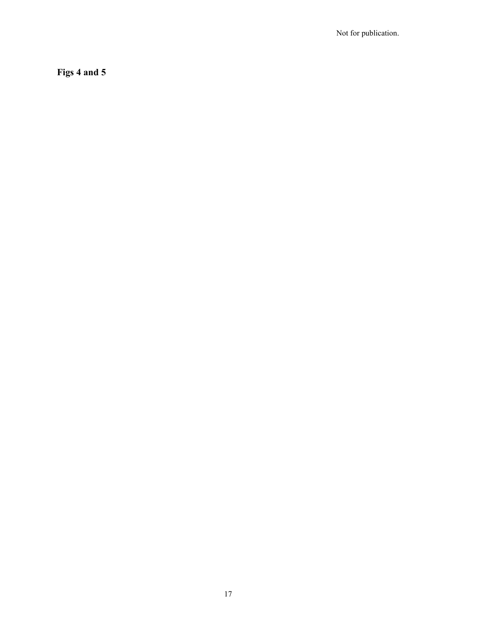**Figs 4 and 5**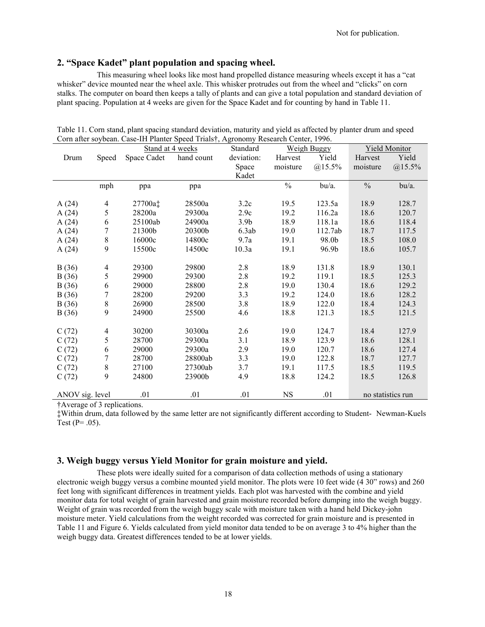### **2. "Space Kadet" plant population and spacing wheel.**

This measuring wheel looks like most hand propelled distance measuring wheels except it has a "cat whisker" device mounted near the wheel axle. This whisker protrudes out from the wheel and "clicks" on corn stalks. The computer on board then keeps a tally of plants and can give a total population and standard deviation of plant spacing. Population at 4 weeks are given for the Space Kadet and for counting by hand in Table 11.

|                 |                          | on and soyoun. Oase 111 mind speed Trans $\frac{1}{2}$ , regionsing research center, 1990.<br>Stand at 4 weeks |            | Standard         |               | <b>Weigh Buggy</b> |               | <b>Yield Monitor</b> |
|-----------------|--------------------------|----------------------------------------------------------------------------------------------------------------|------------|------------------|---------------|--------------------|---------------|----------------------|
| Drum            | Speed                    | Space Cadet                                                                                                    | hand count | deviation:       | Harvest       | Yield              | Harvest       | Yield                |
|                 |                          |                                                                                                                |            | Space            | moisture      | $@15.5\%$          | moisture      | $@15.5\%$            |
|                 |                          |                                                                                                                |            | Kadet            |               |                    |               |                      |
|                 | mph                      | ppa                                                                                                            | ppa        |                  | $\frac{0}{0}$ | bu/a.              | $\frac{0}{0}$ | bu/a.                |
|                 |                          |                                                                                                                |            |                  |               |                    |               |                      |
| A(24)           | $\overline{4}$           | 27700a‡                                                                                                        | 28500a     | 3.2c             | 19.5          | 123.5a             | 18.9          | 128.7                |
| A(24)           | 5                        | 28200a                                                                                                         | 29300a     | 2.9c             | 19.2          | 116.2a             | 18.6          | 120.7                |
| A(24)           | 6                        | 25100ab                                                                                                        | 24900a     | 3.9 <sub>b</sub> | 18.9          | 118.1a             | 18.6          | 118.4                |
| A(24)           | 7                        | 21300b                                                                                                         | 20300b     | 6.3ab            | 19.0          | 112.7ab            | 18.7          | 117.5                |
| A(24)           | $\,$ 8 $\,$              | 16000c                                                                                                         | 14800c     | 9.7a             | 19.1          | 98.0b              | 18.5          | 108.0                |
| A(24)           | 9                        | 15500c                                                                                                         | 14500c     | 10.3a            | 19.1          | 96.9b              | 18.6          | 105.7                |
|                 |                          |                                                                                                                |            |                  |               |                    |               |                      |
| B(36)           | $\overline{\mathcal{A}}$ | 29300                                                                                                          | 29800      | 2.8              | 18.9          | 131.8              | 18.9          | 130.1                |
| B(36)           | 5                        | 29900                                                                                                          | 29300      | 2.8              | 19.2          | 119.1              | 18.5          | 125.3                |
| B(36)           | 6                        | 29000                                                                                                          | 28800      | 2.8              | 19.0          | 130.4              | 18.6          | 129.2                |
| B(36)           | 7                        | 28200                                                                                                          | 29200      | 3.3              | 19.2          | 124.0              | 18.6          | 128.2                |
| B(36)           | 8                        | 26900                                                                                                          | 28500      | 3.8              | 18.9          | 122.0              | 18.4          | 124.3                |
| B(36)           | 9                        | 24900                                                                                                          | 25500      | 4.6              | 18.8          | 121.3              | 18.5          | 121.5                |
|                 |                          |                                                                                                                |            |                  |               |                    |               |                      |
| C(72)           | $\overline{4}$           | 30200                                                                                                          | 30300a     | 2.6              | 19.0          | 124.7              | 18.4          | 127.9                |
| C(72)           | 5                        | 28700                                                                                                          | 29300a     | 3.1              | 18.9          | 123.9              | 18.6          | 128.1                |
| C(72)           | 6                        | 29000                                                                                                          | 29300a     | 2.9              | 19.0          | 120.7              | 18.6          | 127.4                |
| C(72)           | $\overline{7}$           | 28700                                                                                                          | 28800ab    | 3.3              | 19.0          | 122.8              | 18.7          | 127.7                |
| C(72)           | $\,$ $\,$                | 27100                                                                                                          | 27300ab    | 3.7              | 19.1          | 117.5              | 18.5          | 119.5                |
| C(72)           | 9                        | 24800                                                                                                          | 23900b     | 4.9              | 18.8          | 124.2              | 18.5          | 126.8                |
|                 |                          |                                                                                                                |            |                  |               |                    |               |                      |
| ANOV sig. level |                          | .01                                                                                                            | .01        | .01              | $_{\rm NS}$   | .01                |               | no statistics run    |

Table 11. Corn stand, plant spacing standard deviation, maturity and yield as affected by planter drum and speed Corn after soybean. Case-IH Planter Speed Trials†, Agronomy Research Center, 1996.

†Average of 3 replications.

‡Within drum, data followed by the same letter are not significantly different according to Student- Newman-Kuels Test  $(P = .05)$ .

### **3. Weigh buggy versus Yield Monitor for grain moisture and yield.**

These plots were ideally suited for a comparison of data collection methods of using a stationary electronic weigh buggy versus a combine mounted yield monitor. The plots were 10 feet wide (4 30" rows) and 260 feet long with significant differences in treatment yields. Each plot was harvested with the combine and yield monitor data for total weight of grain harvested and grain moisture recorded before dumping into the weigh buggy. Weight of grain was recorded from the weigh buggy scale with moisture taken with a hand held Dickey-john moisture meter. Yield calculations from the weight recorded was corrected for grain moisture and is presented in Table 11 and Figure 6. Yields calculated from yield monitor data tended to be on average 3 to 4% higher than the weigh buggy data. Greatest differences tended to be at lower yields.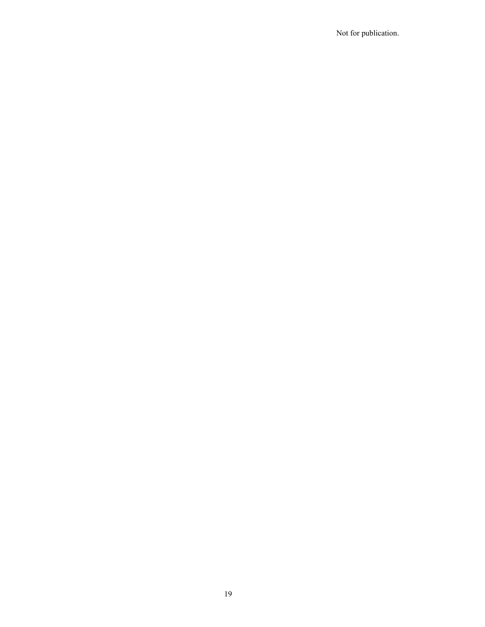Not for publication.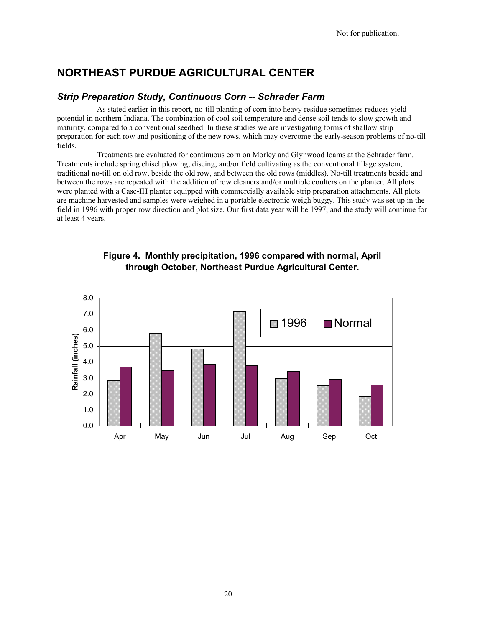# **NORTHEAST PURDUE AGRICULTURAL CENTER**

## *Strip Preparation Study, Continuous Corn -- Schrader Farm*

As stated earlier in this report, no-till planting of corn into heavy residue sometimes reduces yield potential in northern Indiana. The combination of cool soil temperature and dense soil tends to slow growth and maturity, compared to a conventional seedbed. In these studies we are investigating forms of shallow strip preparation for each row and positioning of the new rows, which may overcome the early-season problems of no-till fields.

Treatments are evaluated for continuous corn on Morley and Glynwood loams at the Schrader farm. Treatments include spring chisel plowing, discing, and/or field cultivating as the conventional tillage system, traditional no-till on old row, beside the old row, and between the old rows (middles). No-till treatments beside and between the rows are repeated with the addition of row cleaners and/or multiple coulters on the planter. All plots were planted with a Case-IH planter equipped with commercially available strip preparation attachments. All plots are machine harvested and samples were weighed in a portable electronic weigh buggy. This study was set up in the field in 1996 with proper row direction and plot size. Our first data year will be 1997, and the study will continue for at least 4 years.



### **Figure 4. Monthly precipitation, 1996 compared with normal, April through October, Northeast Purdue Agricultural Center.**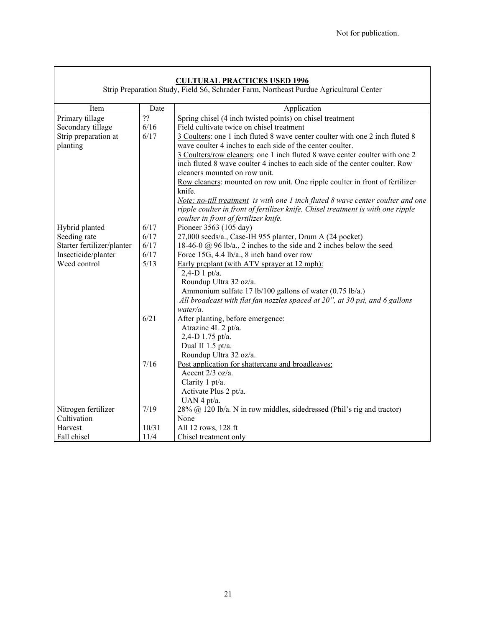| <b>CULTURAL PRACTICES USED 1996</b><br>Strip Preparation Study, Field S6, Schrader Farm, Northeast Purdue Agricultural Center |       |                                                                                        |  |  |  |  |
|-------------------------------------------------------------------------------------------------------------------------------|-------|----------------------------------------------------------------------------------------|--|--|--|--|
| Item                                                                                                                          | Date  | Application                                                                            |  |  |  |  |
| Primary tillage                                                                                                               | ??    | Spring chisel (4 inch twisted points) on chisel treatment                              |  |  |  |  |
| Secondary tillage                                                                                                             | 6/16  | Field cultivate twice on chisel treatment                                              |  |  |  |  |
| Strip preparation at                                                                                                          | 6/17  | 3 Coulters: one 1 inch fluted 8 wave center coulter with one 2 inch fluted 8           |  |  |  |  |
| planting                                                                                                                      |       | wave coulter 4 inches to each side of the center coulter.                              |  |  |  |  |
|                                                                                                                               |       | 3 Coulters/row cleaners: one 1 inch fluted 8 wave center coulter with one 2            |  |  |  |  |
|                                                                                                                               |       | inch fluted 8 wave coulter 4 inches to each side of the center coulter. Row            |  |  |  |  |
|                                                                                                                               |       | cleaners mounted on row unit.                                                          |  |  |  |  |
|                                                                                                                               |       | Row cleaners: mounted on row unit. One ripple coulter in front of fertilizer<br>knife. |  |  |  |  |
|                                                                                                                               |       | Note: no-till treatment is with one 1 inch fluted 8 wave center coulter and one        |  |  |  |  |
|                                                                                                                               |       | ripple coulter in front of fertilizer knife. Chisel treatment is with one ripple       |  |  |  |  |
|                                                                                                                               |       | coulter in front of fertilizer knife.                                                  |  |  |  |  |
| Hybrid planted                                                                                                                | 6/17  | Pioneer 3563 (105 day)                                                                 |  |  |  |  |
| Seeding rate                                                                                                                  | 6/17  | 27,000 seeds/a., Case-IH 955 planter, Drum A (24 pocket)                               |  |  |  |  |
| Starter fertilizer/planter                                                                                                    | 6/17  | 18-46-0 $@$ 96 lb/a., 2 inches to the side and 2 inches below the seed                 |  |  |  |  |
| Insecticide/planter                                                                                                           | 6/17  | Force 15G, 4.4 lb/a., 8 inch band over row                                             |  |  |  |  |
| Weed control                                                                                                                  | 5/13  | Early preplant (with ATV sprayer at 12 mph):                                           |  |  |  |  |
|                                                                                                                               |       | 2,4-D 1 pt/a.                                                                          |  |  |  |  |
|                                                                                                                               |       | Roundup Ultra 32 oz/a.                                                                 |  |  |  |  |
|                                                                                                                               |       | Ammonium sulfate 17 lb/100 gallons of water (0.75 lb/a.)                               |  |  |  |  |
|                                                                                                                               |       | All broadcast with flat fan nozzles spaced at 20", at 30 psi, and 6 gallons            |  |  |  |  |
|                                                                                                                               |       | water/a.                                                                               |  |  |  |  |
|                                                                                                                               | 6/21  | After planting, before emergence:                                                      |  |  |  |  |
|                                                                                                                               |       | Atrazine 4L 2 pt/a.                                                                    |  |  |  |  |
|                                                                                                                               |       | 2,4-D 1.75 pt/a.                                                                       |  |  |  |  |
|                                                                                                                               |       | Dual II 1.5 pt/a.                                                                      |  |  |  |  |
|                                                                                                                               |       | Roundup Ultra 32 oz/a.                                                                 |  |  |  |  |
|                                                                                                                               | 7/16  | Post application for shattercane and broadleaves:                                      |  |  |  |  |
|                                                                                                                               |       | Accent $2/3$ oz/a.                                                                     |  |  |  |  |
|                                                                                                                               |       | Clarity 1 pt/a.                                                                        |  |  |  |  |
|                                                                                                                               |       | Activate Plus 2 pt/a.                                                                  |  |  |  |  |
|                                                                                                                               |       | UAN 4 pt/a.                                                                            |  |  |  |  |
| Nitrogen fertilizer                                                                                                           | 7/19  | $28\%$ @ 120 lb/a. N in row middles, sidedressed (Phil's rig and tractor)              |  |  |  |  |
| Cultivation                                                                                                                   |       | None                                                                                   |  |  |  |  |
| Harvest                                                                                                                       | 10/31 | All 12 rows, 128 ft                                                                    |  |  |  |  |
| Fall chisel                                                                                                                   | 11/4  | Chisel treatment only                                                                  |  |  |  |  |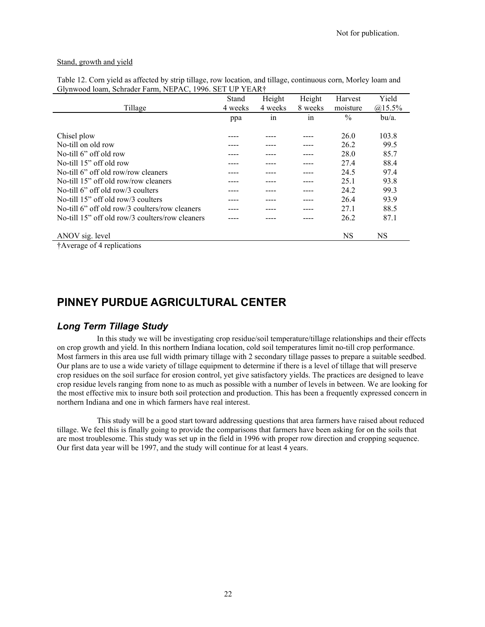#### Stand, growth and yield

Table 12. Corn yield as affected by strip tillage, row location, and tillage, continuous corn, Morley loam and Glynwood loam, Schrader Farm, NEPAC, 1996. SET UP YEAR†

|                                                 | Stand   | Height  | Height  | Harvest       | Yield     |
|-------------------------------------------------|---------|---------|---------|---------------|-----------|
| Tillage                                         | 4 weeks | 4 weeks | 8 weeks | moisture      | $@15.5\%$ |
|                                                 | ppa     | 1n      | in      | $\frac{0}{0}$ | bu/a.     |
|                                                 |         |         |         |               |           |
| Chisel plow                                     |         |         |         | 26.0          | 103.8     |
| No-till on old row                              |         |         |         | 26.2          | 99.5      |
| No-till 6" off old row                          |         |         |         | 28.0          | 85.7      |
| No-till 15" off old row                         |         |         |         | 27.4          | 88.4      |
| No-till 6" off old row/row cleaners             |         |         |         | 24.5          | 97.4      |
| No-till 15" off old row/row cleaners            |         |         |         | 25.1          | 93.8      |
| No-till 6" off old row/3 coulters               |         |         |         | 24.2          | 99.3      |
| No-till $15$ " off old row/3 coulters           |         |         |         | 26.4          | 93.9      |
| No-till 6" off old row/3 coulters/row cleaners  |         |         |         | 27.1          | 88.5      |
| No-till 15" off old row/3 coulters/row cleaners |         |         |         | 26.2          | 87.1      |
|                                                 |         |         |         |               |           |
| ANOV sig. level                                 |         |         |         | <b>NS</b>     | NS        |
|                                                 |         |         |         |               |           |

†Average of 4 replications

# **PINNEY PURDUE AGRICULTURAL CENTER**

### *Long Term Tillage Study*

In this study we will be investigating crop residue/soil temperature/tillage relationships and their effects on crop growth and yield. In this northern Indiana location, cold soil temperatures limit no-till crop performance. Most farmers in this area use full width primary tillage with 2 secondary tillage passes to prepare a suitable seedbed. Our plans are to use a wide variety of tillage equipment to determine if there is a level of tillage that will preserve crop residues on the soil surface for erosion control, yet give satisfactory yields. The practices are designed to leave crop residue levels ranging from none to as much as possible with a number of levels in between. We are looking for the most effective mix to insure both soil protection and production. This has been a frequently expressed concern in northern Indiana and one in which farmers have real interest.

This study will be a good start toward addressing questions that area farmers have raised about reduced tillage. We feel this is finally going to provide the comparisons that farmers have been asking for on the soils that are most troublesome. This study was set up in the field in 1996 with proper row direction and cropping sequence. Our first data year will be 1997, and the study will continue for at least 4 years.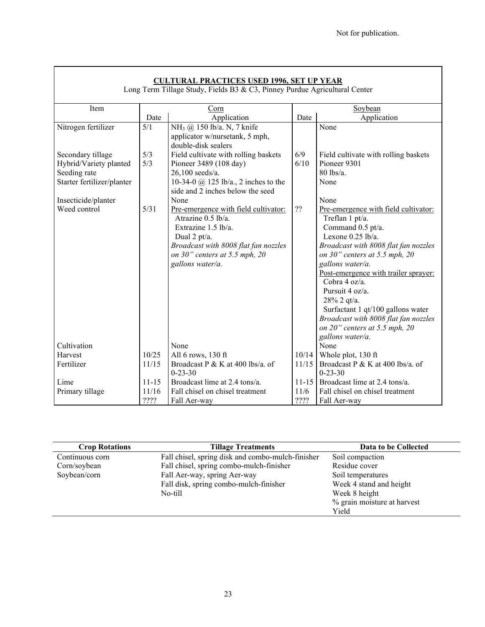| <b>CULTURAL PRACTICES USED 1996, SET UP YEAR</b> |  |  |  |
|--------------------------------------------------|--|--|--|
|--------------------------------------------------|--|--|--|

|  |  |  |  | Long Term Tillage Study, Fields B3 & C3, Pinney Purdue Agricultural Center |  |
|--|--|--|--|----------------------------------------------------------------------------|--|
|  |  |  |  |                                                                            |  |

| Item<br>Soybean<br>Corn<br>Application<br>Date<br>Date<br>Application<br>Nitrogen fertilizer<br>5/1<br>$\overline{\text{NH}_3}$ @ 150 lb/a. N, 7 knife<br>None<br>applicator w/nursetank, 5 mph,<br>double-disk sealers |  |
|-------------------------------------------------------------------------------------------------------------------------------------------------------------------------------------------------------------------------|--|
|                                                                                                                                                                                                                         |  |
|                                                                                                                                                                                                                         |  |
|                                                                                                                                                                                                                         |  |
|                                                                                                                                                                                                                         |  |
| 6/9                                                                                                                                                                                                                     |  |
| Field cultivate with rolling baskets<br>5/3<br>Secondary tillage<br>Field cultivate with rolling baskets<br>Pioneer 9301                                                                                                |  |
| Hybrid/Variety planted<br>5/3<br>6/10<br>Pioneer 3489 (108 day)                                                                                                                                                         |  |
| 26,100 seeds/a.<br>80 lbs/a.<br>Seeding rate<br>None                                                                                                                                                                    |  |
| Starter fertilizer/planter<br>10-34-0 @ 125 lb/a., 2 inches to the<br>side and 2 inches below the seed                                                                                                                  |  |
| None<br>None                                                                                                                                                                                                            |  |
| Insecticide/planter<br>??                                                                                                                                                                                               |  |
| Weed control<br>5/31<br>Pre-emergence with field cultivator:<br>Pre-emergence with field cultivator:<br>Atrazine 0.5 lb/a.<br>Treflan 1 pt/a.                                                                           |  |
| Command 0.5 pt/a.<br>Extrazine 1.5 lb/a.                                                                                                                                                                                |  |
| Lexone $0.25$ lb/a.<br>Dual 2 pt/a.                                                                                                                                                                                     |  |
| Broadcast with 8008 flat fan nozzles<br>Broadcast with 8008 flat fan nozzles                                                                                                                                            |  |
| on $30$ " centers at $5.5$ mph, $20$                                                                                                                                                                                    |  |
| on $30"$ centers at $5.5$ mph, $20$<br>gallons water/a.                                                                                                                                                                 |  |
| gallons water/a.<br>Post-emergence with trailer sprayer:                                                                                                                                                                |  |
| Cobra $4 \text{ oz/a}$ .                                                                                                                                                                                                |  |
| Pursuit 4 oz/a.                                                                                                                                                                                                         |  |
| $28\%$ 2 qt/a.                                                                                                                                                                                                          |  |
| Surfactant 1 qt/100 gallons water                                                                                                                                                                                       |  |
| Broadcast with 8008 flat fan nozzles                                                                                                                                                                                    |  |
| on 20" centers at 5.5 mph, 20                                                                                                                                                                                           |  |
| gallons water/a.                                                                                                                                                                                                        |  |
| Cultivation<br>None<br>None                                                                                                                                                                                             |  |
| 10/25<br>Harvest<br>All 6 rows, 130 ft<br>10/14<br>Whole plot, 130 ft                                                                                                                                                   |  |
| Fertilizer<br>11/15<br>Broadcast P & K at 400 lbs/a. of<br>Broadcast P & K at 400 lbs/a. of<br>11/15                                                                                                                    |  |
| $0 - 23 - 30$<br>$0 - 23 - 30$                                                                                                                                                                                          |  |
| $11 - 15$<br>Broadcast lime at 2.4 tons/a.<br>$11 - 15$<br>Broadcast lime at 2.4 tons/a.<br>Lime                                                                                                                        |  |
| Primary tillage<br>Fall chisel on chisel treatment<br>11/6<br>Fall chisel on chisel treatment<br>11/16                                                                                                                  |  |
| ????<br>????<br>Fall Aer-way<br>Fall Aer-way                                                                                                                                                                            |  |

| <b>Crop Rotations</b> | <b>Tillage Treatments</b>                         | Data to be Collected        |
|-----------------------|---------------------------------------------------|-----------------------------|
| Continuous corn       | Fall chisel, spring disk and combo-mulch-finisher | Soil compaction             |
| Corn/soybean          | Fall chisel, spring combo-mulch-finisher          | Residue cover               |
| Soybean/corn          | Fall Aer-way, spring Aer-way                      | Soil temperatures           |
|                       | Fall disk, spring combo-mulch-finisher            | Week 4 stand and height     |
|                       | No-till                                           | Week 8 height               |
|                       |                                                   | % grain moisture at harvest |
|                       |                                                   | Yield                       |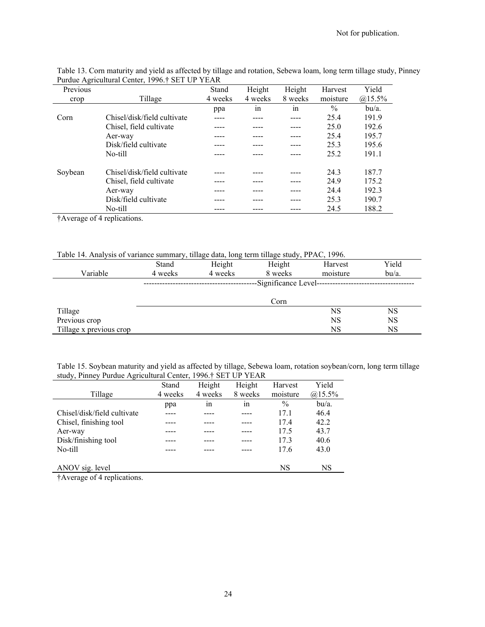| -0-<br>Previous |                             | Stand   | Height  | Height  | Harvest       | Yield     |
|-----------------|-----------------------------|---------|---------|---------|---------------|-----------|
| crop            | Tillage                     | 4 weeks | 4 weeks | 8 weeks | moisture      | $@15.5\%$ |
|                 |                             | ppa     | 1n      | 1n      | $\frac{0}{0}$ | bu/a.     |
| Corn            | Chisel/disk/field cultivate |         |         |         | 25.4          | 191.9     |
|                 | Chisel, field cultivate     |         |         |         | 25.0          | 192.6     |
|                 | Aer-way                     |         |         |         | 25.4          | 195.7     |
|                 | Disk/field cultivate        |         |         |         | 25.3          | 195.6     |
|                 | No-till                     |         |         |         | 25.2          | 191.1     |
| Soybean         | Chisel/disk/field cultivate |         |         |         | 24.3          | 187.7     |
|                 | Chisel, field cultivate     |         |         |         | 24.9          | 175.2     |
|                 | Aer-way                     |         |         |         | 24.4          | 192.3     |
|                 | Disk/field cultivate        |         |         |         | 25.3          | 190.7     |
|                 | No-till                     |         |         |         | 24.5          | 188.2     |

Table 13. Corn maturity and yield as affected by tillage and rotation, Sebewa loam, long term tillage study, Pinney Purdue Agricultural Center, 1996.† SET UP YEAR

†Average of 4 replications.

Table 14. Analysis of variance summary, tillage data, long term tillage study, PPAC, 1996.

|                         | Stand                  | Height  | Height  | Harvest   | Yield |
|-------------------------|------------------------|---------|---------|-----------|-------|
| Variable                | 4 weeks                | 4 weeks | 8 weeks | moisture  | bu/a. |
|                         | -Significance Level--- |         |         |           |       |
|                         |                        |         | Corn    |           |       |
| Tillage                 |                        |         |         | NS        | NS    |
| Previous crop           |                        |         |         | <b>NS</b> | NS    |
| Tillage x previous crop |                        |         |         | NS        | NS    |

Table 15. Soybean maturity and yield as affected by tillage, Sebewa loam, rotation soybean/corn, long term tillage study, Pinney Purdue Agricultural Center, 1996.† SET UP YEAR

|                                                                                      | Stand   | Height  | Height  | Harvest  | Yield     |
|--------------------------------------------------------------------------------------|---------|---------|---------|----------|-----------|
| Tillage                                                                              | 4 weeks | 4 weeks | 8 weeks | moisture | $@15.5\%$ |
|                                                                                      | ppa     | 1n      | 1n      | $\%$     | bu/a.     |
| Chisel/disk/field cultivate                                                          |         |         |         | 17.1     | 46.4      |
| Chisel, finishing tool                                                               |         |         |         | 17.4     | 42.2      |
| Aer-way                                                                              |         |         |         | 17.5     | 43.7      |
| Disk/finishing tool                                                                  |         |         |         | 17.3     | 40.6      |
| No-till                                                                              |         |         |         | 17.6     | 43.0      |
| ANOV sig. level                                                                      |         |         |         | NS       | <b>NS</b> |
| $\mathbf{A} = \mathbf{A} \mathbf{A} + \mathbf{A} \mathbf{A} + \mathbf{A} \mathbf{A}$ |         |         |         |          |           |

†Average of 4 replications.